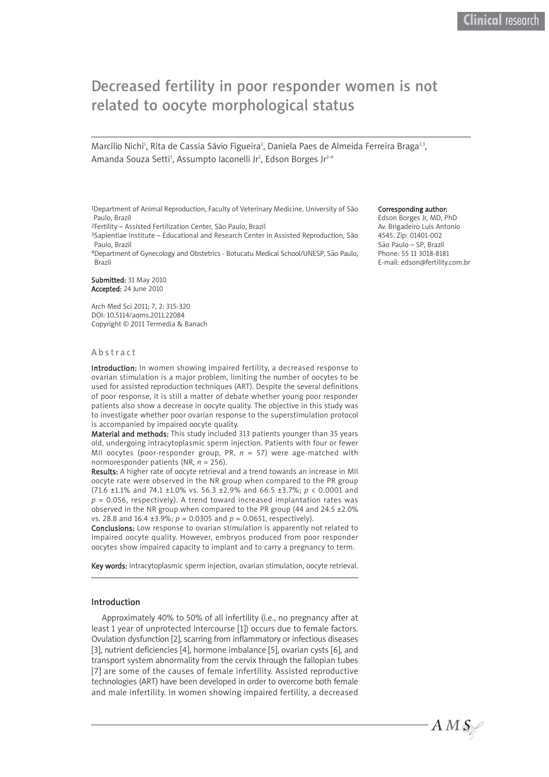# Decreased fertility in poor responder women is not related to oocyte morphological status

Marcílio Nichi<sup>1</sup>, Rita de Cassia Sávio Figueira<sup>2</sup>, Daniela Paes de Almeida Ferreira Braga<sup>2,3</sup>, Amanda Souza Setti<sup>3</sup>, Assumpto Iaconelli Jr<sup>2</sup>, Edson Borges Jr<sup>2-4</sup>

<sup>1</sup>Department of Animal Reproduction, Faculty of Veterinary Medicine, University of São Paulo, Brazil

<sup>2</sup>Fertility – Assisted Fertilization Center, São Paulo, Brazil<br><sup>3</sup>Sapientiae Institute – Educational and Research Center in Assisted Reproduction, São Paulo, Brazil

4Department of Gynecology and Obstetrics - Botucatu Medical School/UNESP, São Paulo, Brazil

Submitted: 31 May 2010 Accepted: 24 June 2010

Arch Med Sci 2011; 7, 2: 315-320 DOI: 10.5114/aoms.2011.22084 Copyright © 2011 Termedia & Banach

#### Abstract

Introduction: In women showing impaired fertility, a decreased response to ovarian stimulation is a major problem, limiting the number of oocytes to be used for assisted reproduction techniques (ART). Despite the several definitions of poor response, it is still a matter of debate whether young poor responder patients also show a decrease in oocyte quality. The objective in this study was to investigate whether poor ovarian response to the superstimulation protocol is accompanied by impaired oocyte quality.

Material and methods: This study included 313 patients younger than 35 years old, undergoing intracytoplasmic sperm injection. Patients with four or fewer MII oocytes (poor-responder group, PR, *n* = 57) were age-matched with normoresponder patients (NR, *n* = 256).

Results: A higher rate of oocyte retrieval and a trend towards an increase in MII oocyte rate were observed in the NR group when compared to the PR group (71.6 ±1.1% and 74.1 ±1.0% vs. 56.3 ±2.9% and 66.5 ±3.7%; *p* < 0.0001 and  $p = 0.056$ , respectively). A trend toward increased implantation rates was observed in the NR group when compared to the PR group (44 and 24.5 ±2.0% vs. 28.8 and 16.4 ±3.9%; *p* = 0.0305 and *p* = 0.0651, respectively).

Conclusions: Low response to ovarian stimulation is apparently not related to impaired oocyte quality. However, embryos produced from poor responder oocytes show impaired capacity to implant and to carry a pregnancy to term.

Key words: intracytoplasmic sperm injection, ovarian stimulation, oocyte retrieval.

#### Introduction

Approximately 40% to 50% of all infertility (i.e., no pregnancy after at least 1 year of unprotected intercourse [1]) occurs due to female factors. Ovulation dysfunction [2], scarring from inflammatory or infectious diseases [3], nutrient deficiencies [4], hormone imbalance [5], ovarian cysts [6], and transport system abnormality from the cervix through the fallopian tubes [7] are some of the causes of female infertility. Assisted reproductive technologies (ART) have been developed in order to overcome both female and male infertility. In women showing impaired fertility, a decreased

#### Corresponding author:

Edson Borges Jr, MD, PhD Av. Brigadeiro Luis Antonio 4545. Zip: 01401-002 São Paulo – SP, Brazil Phone: 55 11 3018-8181 E-mail: edson@fertility.com.br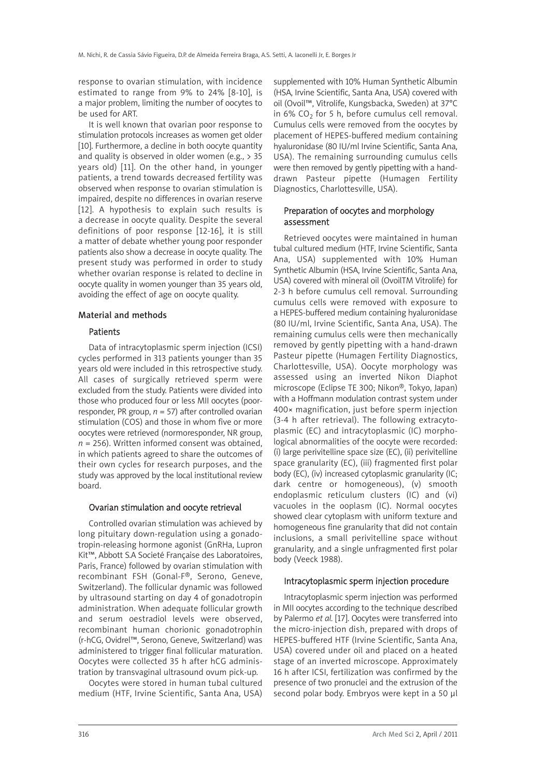response to ovarian stimulation, with incidence estimated to range from 9% to 24% [8-10], is a major problem, limiting the number of oocytes to be used for ART.

It is well known that ovarian poor response to stimulation protocols increases as women get older [10]. Furthermore, a decline in both oocyte quantity and quality is observed in older women (e.g.,  $> 35$ years old) [11]. On the other hand, in younger patients, a trend towards decreased fertility was observed when response to ovarian stimulation is impaired, despite no differences in ovarian reserve [12]. A hypothesis to explain such results is a decrease in oocyte quality. Despite the several definitions of poor response [12-16], it is still a matter of debate whether young poor responder patients also show a decrease in oocyte quality. The present study was performed in order to study whether ovarian response is related to decline in oocyte quality in women younger than 35 years old, avoiding the effect of age on oocyte quality.

#### Material and methods

#### Patients

Data of intracytoplasmic sperm injection (ICSI) cycles performed in 313 patients younger than 35 years old were included in this retrospective study. All cases of surgically retrieved sperm were excluded from the study. Patients were divided into those who produced four or less MII oocytes (poorresponder, PR group,  $n = 57$ ) after controlled ovarian stimulation (COS) and those in whom five or more oocytes were retrieved (normoresponder, NR group,  $n = 256$ ). Written informed consent was obtained, in which patients agreed to share the outcomes of their own cycles for research purposes, and the study was approved by the local institutional review board.

#### Ovarian stimulation and oocyte retrieval

Controlled ovarian stimulation was achieved by long pituitary down-regulation using a gonadotropin-releasing hormone agonist (GnRHa, Lupron Kit™, Abbott S.A Societé Française des Laboratoires, Paris, France) followed by ovarian stimulation with recombinant FSH (Gonal-F®, Serono, Geneve, Switzerland). The follicular dynamic was followed by ultrasound starting on day 4 of gonadotropin administration. When adequate follicular growth and serum oestradiol levels were observed, recombinant human chorionic gonadotrophin (r-hCG, Ovidrel™, Serono, Geneve, Switzerland) was administered to trigger final follicular maturation. Oocytes were collected 35 h after hCG administration by transvaginal ultrasound ovum pick-up.

Oocytes were stored in human tubal cultured medium (HTF, Irvine Scientific, Santa Ana, USA)

supplemented with 10% Human Synthetic Albumin (HSA, Irvine Scientific, Santa Ana, USA) covered with oil (Ovoil™, Vitrolife, Kungsbacka, Sweden) at 37°C in 6% CO<sub>2</sub> for 5 h, before cumulus cell removal. Cumulus cells were removed from the oocytes by placement of HEPES-buffered medium containing hyaluronidase (80 IU/ml Irvine Scientific, Santa Ana, USA). The remaining surrounding cumulus cells were then removed by gently pipetting with a handdrawn Pasteur pipette (Humagen Fertility Diagnostics, Charlottesville, USA).

#### Preparation of oocytes and morphology assessment

Retrieved oocytes were maintained in human tubal cultured medium (HTF, Irvine Scientific, Santa Ana, USA) supplemented with 10% Human Synthetic Albumin (HSA, Irvine Scientific, Santa Ana, USA) covered with mineral oil (OvoilTM Vitrolife) for 2-3 h before cumulus cell removal. Surrounding cumulus cells were removed with exposure to a HEPES-buffered medium containing hyaluronidase (80 IU/ml, Irvine Scientific, Santa Ana, USA). The remaining cumulus cells were then mechanically removed by gently pipetting with a hand-drawn Pasteur pipette (Humagen Fertility Diagnostics, Charlottesville, USA). Oocyte morphology was assessed using an inverted Nikon Diaphot microscope (Eclipse TE 300; Nikon®, Tokyo, Japan) with a Hoffmann modulation contrast system under 400× magnification, just before sperm injection (3-4 h after retrieval). The following extracytoplasmic (EC) and intracytoplasmic (IC) morphological abnormalities of the oocyte were recorded: (i) large perivitelline space size (EC), (ii) perivitelline space granularity (EC), (iii) fragmented first polar body (EC), (iv) increased cytoplasmic granularity (IC; dark centre or homogeneous), (v) smooth endoplasmic reticulum clusters (IC) and (vi) vacuoles in the ooplasm (IC). Normal oocytes showed clear cytoplasm with uniform texture and homogeneous fine granularity that did not contain inclusions, a small perivitelline space without granularity, and a single unfragmented first polar body (Veeck 1988).

#### Intracytoplasmic sperm injection procedure

Intracytoplasmic sperm injection was performed in MII oocytes according to the technique described by Palermo *et al.* [17]. Oocytes were transferred into the micro-injection dish, prepared with drops of HEPES-buffered HTF (Irvine Scientific, Santa Ana, USA) covered under oil and placed on a heated stage of an inverted microscope. Approximately 16 h after ICSI, fertilization was confirmed by the presence of two pronuclei and the extrusion of the second polar body. Embryos were kept in a 50 μl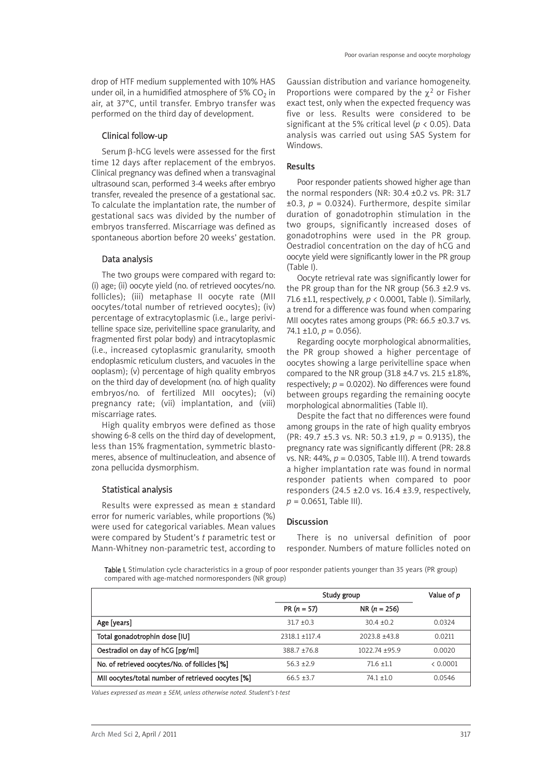drop of HTF medium supplemented with 10% HAS under oil, in a humidified atmosphere of 5%  $CO<sub>2</sub>$  in air, at 37°C, until transfer. Embryo transfer was performed on the third day of development.

# Clinical follow-up

Serum β-hCG levels were assessed for the first time 12 days after replacement of the embryos. Clinical pregnancy was defined when a transvaginal ultrasound scan, performed 3-4 weeks after embryo transfer, revealed the presence of a gestational sac. To calculate the implantation rate, the number of gestational sacs was divided by the number of embryos transferred. Miscarriage was defined as spontaneous abortion before 20 weeks' gestation.

### Data analysis

The two groups were compared with regard to: (i) age; (ii) oocyte yield (no. of retrieved oocytes/no. follicles); (iii) metaphase II oocyte rate (MII oocytes/total number of retrieved oocytes); (iv) percentage of extracytoplasmic (i.e., large perivitelline space size, perivitelline space granularity, and fragmented first polar body) and intracytoplasmic (i.e., increased cytoplasmic granularity, smooth endoplasmic reticulum clusters, and vacuoles in the ooplasm); (v) percentage of high quality embryos on the third day of development (no. of high quality embryos/no. of fertilized MII oocytes); (vi) pregnancy rate; (vii) implantation, and (viii) miscarriage rates.

High quality embryos were defined as those showing 6-8 cells on the third day of development, less than 15% fragmentation, symmetric blastomeres, absence of multinucleation, and absence of zona pellucida dysmorphism.

# Statistical analysis

Results were expressed as mean ± standard error for numeric variables, while proportions (%) were used for categorical variables. Mean values were compared by Student's *t* parametric test or Mann-Whitney non-parametric test, according to

Gaussian distribution and variance homogeneity. Proportions were compared by the  $\gamma^2$  or Fisher exact test, only when the expected frequency was five or less. Results were considered to be significant at the 5% critical level (*p* < 0.05). Data analysis was carried out using SAS System for Windows.

### Results

Poor responder patients showed higher age than the normal responders (NR: 30.4 ±0.2 vs. PR: 31.7  $\pm$ 0.3,  $p = 0.0324$ ). Furthermore, despite similar duration of gonadotrophin stimulation in the two groups, significantly increased doses of gonadotrophins were used in the PR group. Oestradiol concentration on the day of hCG and oocyte yield were significantly lower in the PR group (Table I).

Oocyte retrieval rate was significantly lower for the PR group than for the NR group (56.3 ±2.9 vs. 71.6 ±1.1, respectively, *p* < 0.0001, Table I). Similarly, a trend for a difference was found when comparing MII oocytes rates among groups (PR: 66.5 ±0.3.7 vs.  $74.1 \pm 1.0, p = 0.056$ .

Regarding oocyte morphological abnormalities, the PR group showed a higher percentage of oocytes showing a large perivitelline space when compared to the NR group  $(31.8 \pm 4.7 \text{ vs. } 21.5 \pm 1.8\%$ , respectively; *p* = 0.0202). No differences were found between groups regarding the remaining oocyte morphological abnormalities (Table II).

Despite the fact that no differences were found among groups in the rate of high quality embryos (PR: 49.7 ±5.3 vs. NR: 50.3 ±1.9, *p* = 0.9135), the pregnancy rate was significantly different (PR: 28.8 vs. NR: 44%, *p* = 0.0305, Table III). A trend towards a higher implantation rate was found in normal responder patients when compared to poor responders (24.5  $\pm$ 2.0 vs. 16.4  $\pm$ 3.9, respectively,  $p = 0.0651$ . Table III).

# Discussion

There is no universal definition of poor responder. Numbers of mature follicles noted on

Table I. Stimulation cycle characteristics in a group of poor responder patients younger than 35 years (PR group) compared with age-matched normoresponders (NR group)

|                                                   | Study group      |                  | Value of p |
|---------------------------------------------------|------------------|------------------|------------|
|                                                   | $PR (n = 57)$    | $NR (n = 256)$   |            |
| Age [years]                                       | $31.7 + 0.3$     | $30.4 + 0.2$     | 0.0324     |
| Total gonadotrophin dose [IU]                     | $2318.1 + 117.4$ | $2023.8 + 43.8$  | 0.0211     |
| Oestradiol on day of hCG [pg/ml]                  | $388.7 + 76.8$   | $1022.74 + 95.9$ | 0.0020     |
| No. of retrieved oocytes/No. of follicles [%]     | $56.3 + 2.9$     | $71.6 \pm 1.1$   | < 0.0001   |
| MII oocytes/total number of retrieved oocytes [%] | $66.5 + 3.7$     | $74.1 + 1.0$     | 0.0546     |

*Values expressed as mean ± SEM, unless otherwise noted. Student's t-test*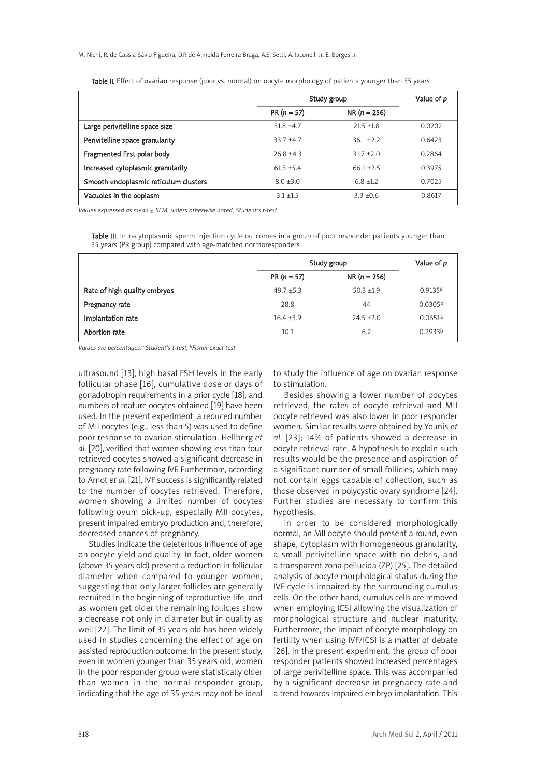|                                       | Study group   |                | Value of p |
|---------------------------------------|---------------|----------------|------------|
|                                       | $PR (n = 57)$ | $NR (n = 256)$ |            |
| Large perivitelline space size        | $31.8 + 4.7$  | $21.5 + 1.8$   | 0.0202     |
| Perivitelline space granularity       | $33.7 + 4.7$  | $36.1 + 2.2$   | 0.6423     |
| Fragmented first polar body           | $26.8 + 4.3$  | $31.7 + 2.0$   | 0.2864     |
| Increased cytoplasmic granularity     | $61.3 + 5.4$  | $66.1 + 2.5$   | 0.3975     |
| Smooth endoplasmic reticulum clusters | $8.0 + 3.0$   | $6.8 \pm 1.2$  | 0.7025     |
| Vacuoles in the ooplasm               | $3.1 + 1.5$   | $3.3 + 0.6$    | 0.8617     |

Table II. Effect of ovarian response (poor vs. normal) on oocyte morphology of patients younger than 35 years

*Values expressed as mean ± SEM, unless otherwise noted, Student's t-test*

Table III. Intracytoplasmic sperm injection cycle outcomes in a group of poor responder patients younger than 35 years (PR group) compared with age-matched normoresponders

|                              | Study group   |                | Value of p          |
|------------------------------|---------------|----------------|---------------------|
|                              | $PR (n = 57)$ | $NR (n = 256)$ |                     |
| Rate of high quality embryos | $49.7 + 5.3$  | $50.3 + 1.9$   | 0.9135a             |
| Pregnancy rate               | 28.8          | 44             | 0.0305 <sup>b</sup> |
| Implantation rate            | $16.4 + 3.9$  | $24.5 + 2.0$   | 0.0651a             |
| Abortion rate                | 10.1          | 6.2            | 0.2933 <sup>b</sup> |

*Values are percentages. aStudent's t-test, bFisher exact test*

ultrasound [13], high basal FSH levels in the early follicular phase [16], cumulative dose or days of gonadotropin requirements in a prior cycle [18], and numbers of mature oocytes obtained [19] have been used. In the present experiment, a reduced number of MII oocytes (e.g., less than 5) was used to define poor response to ovarian stimulation. Hellberg *et al.* [20], verified that women showing less than four retrieved oocytes showed a significant decrease in pregnancy rate following IVF. Furthermore, according to Arnot *et al.* [21], IVF success is significantly related to the number of oocytes retrieved. Therefore, women showing a limited number of oocytes following ovum pick-up, especially MII oocytes, present impaired embryo production and, therefore, decreased chances of pregnancy.

Studies indicate the deleterious influence of age on oocyte yield and quality. In fact, older women (above 35 years old) present a reduction in follicular diameter when compared to younger women, suggesting that only larger follicles are generally recruited in the beginning of reproductive life, and as women get older the remaining follicles show a decrease not only in diameter but in quality as well [22]. The limit of 35 years old has been widely used in studies concerning the effect of age on assisted reproduction outcome. In the present study, even in women younger than 35 years old, women in the poor responder group were statistically older than women in the normal responder group, indicating that the age of 35 years may not be ideal to study the influence of age on ovarian response to stimulation.

Besides showing a lower number of oocytes retrieved, the rates of oocyte retrieval and MII oocyte retrieved was also lower in poor responder women. Similar results were obtained by Younis *et al.* [23]; 14% of patients showed a decrease in oocyte retrieval rate. A hypothesis to explain such results would be the presence and aspiration of a significant number of small follicles, which may not contain eggs capable of collection, such as those observed in polycystic ovary syndrome [24]. Further studies are necessary to confirm this hypothesis.

In order to be considered morphologically normal, an MII oocyte should present a round, even shape, cytoplasm with homogeneous granularity, a small perivitelline space with no debris, and a transparent zona pellucida (ZP) [25]. The detailed analysis of oocyte morphological status during the IVF cycle is impaired by the surrounding cumulus cells. On the other hand, cumulus cells are removed when employing ICSI allowing the visualization of morphological structure and nuclear maturity. Furthermore, the impact of oocyte morphology on fertility when using IVF/ICSI is a matter of debate [26]. In the present experiment, the group of poor responder patients showed increased percentages of large perivitelline space. This was accompanied by a significant decrease in pregnancy rate and a trend towards impaired embryo implantation. This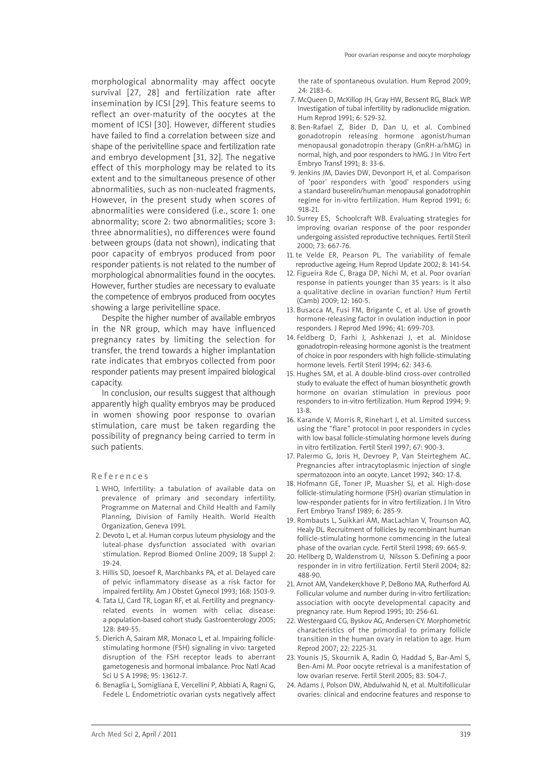morphological abnormality may affect oocyte survival [27, 28] and fertilization rate after insemination by ICSI [29]. This feature seems to reflect an over-maturity of the oocytes at the moment of ICSI [30]. However, different studies have failed to find a correlation between size and shape of the perivitelline space and fertilization rate and embryo development [31, 32]. The negative effect of this morphology may be related to its extent and to the simultaneous presence of other abnormalities, such as non-nucleated fragments. However, in the present study when scores of abnormalities were considered (i.e., score 1: one abnormality; score 2: two abnormalities; score 3: three abnormalities), no differences were found between groups (data not shown), indicating that poor capacity of embryos produced from poor responder patients is not related to the number of morphological abnormalities found in the oocytes. However, further studies are necessary to evaluate the competence of embryos produced from oocytes showing a large perivitelline space.

Despite the higher number of available embryos in the NR group, which may have influenced pregnancy rates by limiting the selection for transfer, the trend towards a higher implantation rate indicates that embryos collected from poor responder patients may present impaired biological capacity.

In conclusion, our results suggest that although apparently high quality embryos may be produced in women showing poor response to ovarian stimulation, care must be taken regarding the possibility of pregnancy being carried to term in such patients.

#### References

- 1. WHO, Infertility: a tabulation of available data on prevalence of primary and secondary infertility. Programme on Maternal and Child Health and Family Planning, Division of Family Health. World Health Organization, Geneva 1991.
- 2. Devoto L, et al. Human corpus luteum physiology and the luteal-phase dysfunction associated with ovarian stimulation. Reprod Biomed Online 2009; 18 Suppl 2: 19-24.
- 3. Hillis SD, Joesoef R, Marchbanks PA, et al. Delayed care of pelvic inflammatory disease as a risk factor for impaired fertility. Am J Obstet Gynecol 1993; 168: 1503-9.
- 4. Tata LJ, Card TR, Logan RF, et al. Fertility and pregnancyrelated events in women with celiac disease: a population-based cohort study. Gastroenterology 2005; 128: 849-55.
- 5. Dierich A, Sairam MR, Monaco L, et al. Impairing folliclestimulating hormone (FSH) signaling in vivo: targeted disruption of the FSH receptor leads to aberrant gametogenesis and hormonal imbalance. Proc Natl Acad Sci U S A 1998; 95: 13612-7.
- 6. Benaglia L, Somigliana E, Vercellini P, Abbiati A, Ragni G, Fedele L. Endometriotic ovarian cysts negatively affect

the rate of spontaneous ovulation. Hum Reprod 2009; 24: 2183-6.

- 7. McQueen D, McKillop JH, Gray HW, Bessent RG, Black WP. Investigation of tubal infertility by radionuclide migration. Hum Reprod 1991; 6: 529-32.
- 8. Ben-Rafael Z, Bider D, Dan U, et al. Combined gonadotropin releasing hormone agonist/human menopausal gonadotropin therapy (GnRH-a/hMG) in normal, high, and poor responders to hMG. J In Vitro Fert Embryo Transf 1991; 8: 33-6.
- 9. Jenkins JM, Davies DW, Devonport H, et al. Comparison of 'poor' responders with 'good' responders using a standard buserelin/human menopausal gonadotrophin regime for in-vitro fertilization. Hum Reprod 1991; 6: 918-21.
- 10. Surrey ES, Schoolcraft WB. Evaluating strategies for improving ovarian response of the poor responder undergoing assisted reproductive techniques. Fertil Steril 2000; 73: 667-76.
- 11. te Velde ER, Pearson PL. The variability of female reproductive ageing. Hum Reprod Update 2002; 8: 141-54.
- 12. Figueira Rde C, Braga DP, Nichi M, et al. Poor ovarian response in patients younger than 35 years: is it also a qualitative decline in ovarian function? Hum Fertil (Camb) 2009; 12: 160-5.
- 13. Busacca M, Fusi FM, Brigante C, et al. Use of growth hormone-releasing factor in ovulation induction in poor responders. J Reprod Med 1996; 41: 699-703.
- 14. Feldberg D, Farhi J, Ashkenazi J, et al. Minidose gonadotropin-releasing hormone agonist is the treatment of choice in poor responders with high follicle-stimulating hormone levels. Fertil Steril 1994; 62: 343-6.
- 15. Hughes SM, et al. A double-blind cross-over controlled study to evaluate the effect of human biosynthetic growth hormone on ovarian stimulation in previous poor responders to in-vitro fertilization. Hum Reprod 1994; 9: 13-8.
- 16. Karande V, Morris R, Rinehart J, et al. Limited success using the "flare" protocol in poor responders in cycles with low basal follicle-stimulating hormone levels during in vitro fertilization. Fertil Steril 1997; 67: 900-3.
- 17. Palermo G, Joris H, Devroey P, Van Steirteghem AC. Pregnancies after intracytoplasmic injection of single spermatozoon into an oocyte. Lancet 1992; 340: 17-8.
- 18. Hofmann GE, Toner JP, Muasher SJ, et al. High-dose follicle-stimulating hormone (FSH) ovarian stimulation in low-responder patients for in vitro fertilization. J In Vitro Fert Embryo Transf 1989; 6: 285-9.
- 19. Rombauts L, Suikkari AM, MacLachlan V, Trounson AO, Healy DL. Recruitment of follicles by recombinant human follicle-stimulating hormone commencing in the luteal phase of the ovarian cycle. Fertil Steril 1998; 69: 665-9.
- 20. Hellberg D, Waldenstrom U, Nilsson S. Defining a poor responder in in vitro fertilization. Fertil Steril 2004; 82: 488-90.
- 21. Arnot AM, Vandekerckhove P, DeBono MA, Rutherford AJ. Follicular volume and number during in-vitro fertilization: association with oocyte developmental capacity and pregnancy rate. Hum Reprod 1995; 10: 256-61.
- 22. Westergaard CG, Byskov AG, Andersen CY. Morphometric characteristics of the primordial to primary follicle transition in the human ovary in relation to age. Hum Reprod 2007; 22: 2225-31.
- 23. Younis JS, Skournik A, Radin O, Haddad S, Bar-Ami S, Ben-Ami M. Poor oocyte retrieval is a manifestation of low ovarian reserve. Fertil Steril 2005; 83: 504-7.
- 24. Adams J, Polson DW, Abdulwahid N, et al. Multifollicular ovaries: clinical and endocrine features and response to